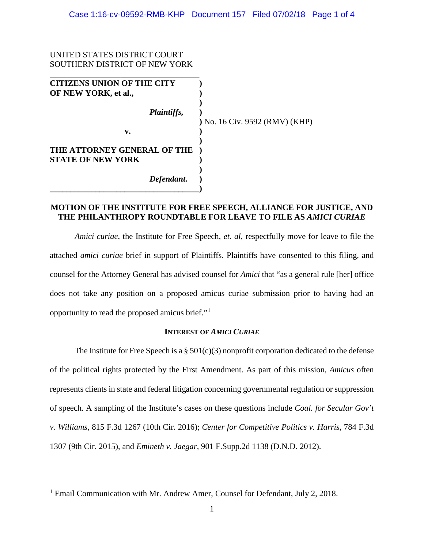# UNITED STATES DISTRICT COURT SOUTHERN DISTRICT OF NEW YORK \_\_\_\_\_\_\_\_\_\_\_\_\_\_\_\_\_\_\_\_\_\_\_\_\_\_\_\_\_\_\_\_\_\_\_\_ **CITIZENS UNION OF THE CITY ) OF NEW YORK, et al., ) )** *Plaintiffs,* **) v. )**

*Defendant.* **)**

**THE ATTORNEY GENERAL OF THE ) STATE OF NEW YORK )**

**\_\_\_\_\_\_\_\_\_\_\_\_\_\_\_\_\_\_\_\_\_\_\_\_\_\_\_\_\_\_\_\_\_\_\_\_)**

 $\overline{a}$ 

**)** No. 16 Civ. 9592 (RMV) (KHP)

# **MOTION OF THE INSTITUTE FOR FREE SPEECH, ALLIANCE FOR JUSTICE, AND THE PHILANTHROPY ROUNDTABLE FOR LEAVE TO FILE AS** *AMICI CURIAE*

**)**

**)**

*Amici curiae*, the Institute for Free Speech, *et. al*, respectfully move for leave to file the attached *amici curiae* brief in support of Plaintiffs. Plaintiffs have consented to this filing, and counsel for the Attorney General has advised counsel for *Amici* that "as a general rule [her] office does not take any position on a proposed amicus curiae submission prior to having had an opportunity to read the proposed amicus brief."[1](#page-0-0)

## **INTEREST OF** *AMICI CURIAE*

The Institute for Free Speech is a  $\S 501(c)(3)$  nonprofit corporation dedicated to the defense of the political rights protected by the First Amendment. As part of this mission, *Amicus* often represents clients in state and federal litigation concerning governmental regulation or suppression of speech. A sampling of the Institute's cases on these questions include *Coal. for Secular Gov't v. Williams*, 815 F.3d 1267 (10th Cir. 2016); *Center for Competitive Politics v. Harris*, 784 F.3d 1307 (9th Cir. 2015), and *Emineth v. Jaegar,* 901 F.Supp.2d 1138 (D.N.D. 2012).

<span id="page-0-0"></span><sup>&</sup>lt;sup>1</sup> Email Communication with Mr. Andrew Amer, Counsel for Defendant, July 2, 2018.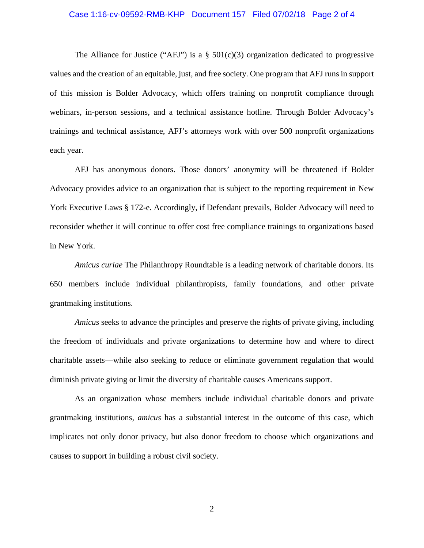### Case 1:16-cv-09592-RMB-KHP Document 157 Filed 07/02/18 Page 2 of 4

The Alliance for Justice ("AFJ") is a  $\S$  501(c)(3) organization dedicated to progressive values and the creation of an equitable, just, and free society. One program that AFJ runs in support of this mission is Bolder Advocacy, which offers training on nonprofit compliance through webinars, in-person sessions, and a technical assistance hotline. Through Bolder Advocacy's trainings and technical assistance, AFJ's attorneys work with over 500 nonprofit organizations each year.

AFJ has anonymous donors. Those donors' anonymity will be threatened if Bolder Advocacy provides advice to an organization that is subject to the reporting requirement in New York Executive Laws § 172-e. Accordingly, if Defendant prevails, Bolder Advocacy will need to reconsider whether it will continue to offer cost free compliance trainings to organizations based in New York.

*Amicus curiae* The Philanthropy Roundtable is a leading network of charitable donors. Its 650 members include individual philanthropists, family foundations, and other private grantmaking institutions.

*Amicus* seeks to advance the principles and preserve the rights of private giving, including the freedom of individuals and private organizations to determine how and where to direct charitable assets—while also seeking to reduce or eliminate government regulation that would diminish private giving or limit the diversity of charitable causes Americans support.

As an organization whose members include individual charitable donors and private grantmaking institutions, *amicus* has a substantial interest in the outcome of this case, which implicates not only donor privacy, but also donor freedom to choose which organizations and causes to support in building a robust civil society.

2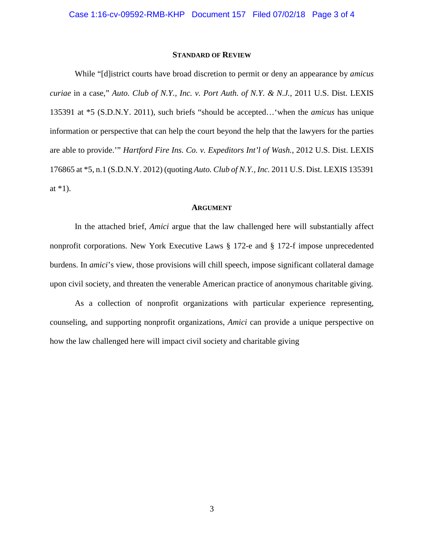### **STANDARD OF REVIEW**

While "[d]istrict courts have broad discretion to permit or deny an appearance by *amicus curiae* in a case," *Auto. Club of N.Y., Inc. v. Port Auth. of N.Y. & N.J.*, 2011 U.S. Dist. LEXIS 135391 at \*5 (S.D.N.Y. 2011), such briefs "should be accepted…'when the *amicus* has unique information or perspective that can help the court beyond the help that the lawyers for the parties are able to provide.'" *Hartford Fire Ins. Co. v. Expeditors Int'l of Wash.*, 2012 U.S. Dist. LEXIS 176865 at \*5, n.1 (S.D.N.Y. 2012) (quoting *Auto. Club of N.Y., Inc.* 2011 U.S. Dist. LEXIS 135391 at  $*1$ ).

#### **ARGUMENT**

In the attached brief, *Amici* argue that the law challenged here will substantially affect nonprofit corporations. New York Executive Laws § 172-e and § 172-f impose unprecedented burdens. In *amici*'s view, those provisions will chill speech, impose significant collateral damage upon civil society, and threaten the venerable American practice of anonymous charitable giving.

As a collection of nonprofit organizations with particular experience representing, counseling, and supporting nonprofit organizations, *Amici* can provide a unique perspective on how the law challenged here will impact civil society and charitable giving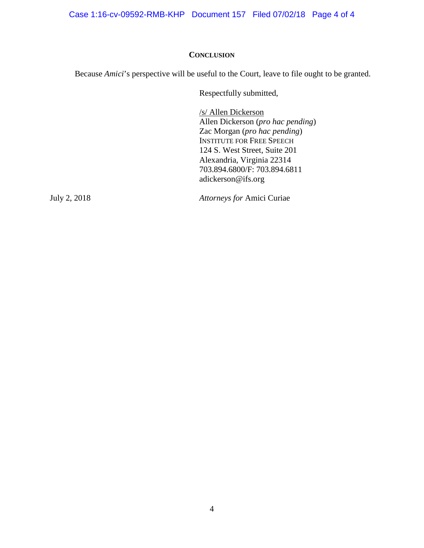Case 1:16-cv-09592-RMB-KHP Document 157 Filed 07/02/18 Page 4 of 4

# **CONCLUSION**

Because *Amici*'s perspective will be useful to the Court, leave to file ought to be granted.

Respectfully submitted,

/s/ Allen Dickerson Allen Dickerson (*pro hac pending*) Zac Morgan (*pro hac pending*) INSTITUTE FOR FREE SPEECH 124 S. West Street, Suite 201 Alexandria, Virginia 22314 703.894.6800/F: 703.894.6811 adickerson@ifs.org

July 2, 2018 *Attorneys for* Amici Curiae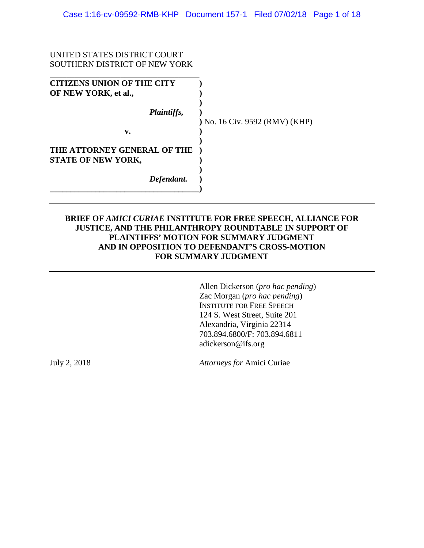## UNITED STATES DISTRICT COURT SOUTHERN DISTRICT OF NEW YORK

| <b>CITIZENS UNION OF THE CITY</b><br>OF NEW YORK, et al., |                                |
|-----------------------------------------------------------|--------------------------------|
| Plaintiffs,                                               | ) No. 16 Civ. 9592 (RMV) (KHP) |
| v.                                                        |                                |
| THE ATTORNEY GENERAL OF THE<br><b>STATE OF NEW YORK,</b>  |                                |
| Defendant.                                                |                                |

# **BRIEF OF** *AMICI CURIAE* **INSTITUTE FOR FREE SPEECH, ALLIANCE FOR JUSTICE, AND THE PHILANTHROPY ROUNDTABLE IN SUPPORT OF PLAINTIFFS' MOTION FOR SUMMARY JUDGMENT AND IN OPPOSITION TO DEFENDANT'S CROSS-MOTION FOR SUMMARY JUDGMENT**

Allen Dickerson (*pro hac pending*) Zac Morgan (*pro hac pending*) INSTITUTE FOR FREE SPEECH 124 S. West Street, Suite 201 Alexandria, Virginia 22314 703.894.6800/F: 703.894.6811 adickerson@ifs.org

July 2, 2018 *Attorneys for* Amici Curiae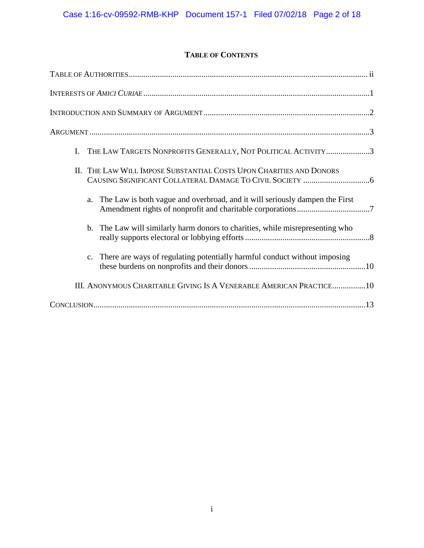# **TABLE OF CONTENTS**

| I. THE LAW TARGETS NONPROFITS GENERALLY, NOT POLITICAL ACTIVITY3                  |
|-----------------------------------------------------------------------------------|
| II. THE LAW WILL IMPOSE SUBSTANTIAL COSTS UPON CHARITIES AND DONORS               |
| The Law is both vague and overbroad, and it will seriously dampen the First<br>a. |
| b. The Law will similarly harm donors to charities, while misrepresenting who     |
| c. There are ways of regulating potentially harmful conduct without imposing      |
| III. ANONYMOUS CHARITABLE GIVING IS A VENERABLE AMERICAN PRACTICE10               |
|                                                                                   |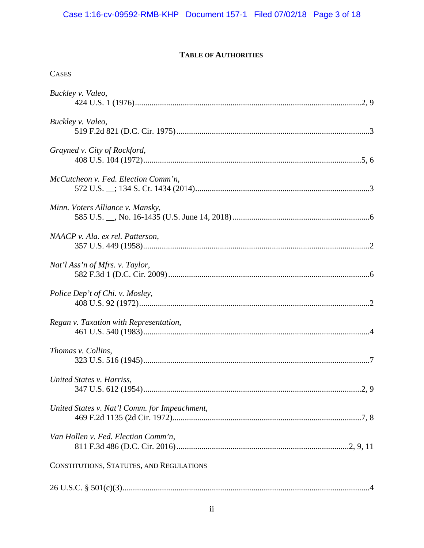# Case 1:16-cv-09592-RMB-KHP Document 157-1 Filed 07/02/18 Page 3 of 18

# **TABLE OF AUTHORITIES**

| <b>CASES</b>                                  |
|-----------------------------------------------|
| Buckley v. Valeo,                             |
| Buckley v. Valeo,                             |
| Grayned v. City of Rockford,                  |
| McCutcheon v. Fed. Election Comm'n,           |
| Minn. Voters Alliance v. Mansky,              |
| NAACP v. Ala. ex rel. Patterson,              |
| Nat'l Ass'n of Mfrs. v. Taylor,               |
| Police Dep't of Chi. v. Mosley,               |
| Regan v. Taxation with Representation,        |
| Thomas v. Collins,                            |
| United States v. Harriss,                     |
| United States v. Nat'l Comm. for Impeachment, |
| Van Hollen v. Fed. Election Comm'n,           |
| CONSTITUTIONS, STATUTES, AND REGULATIONS      |
|                                               |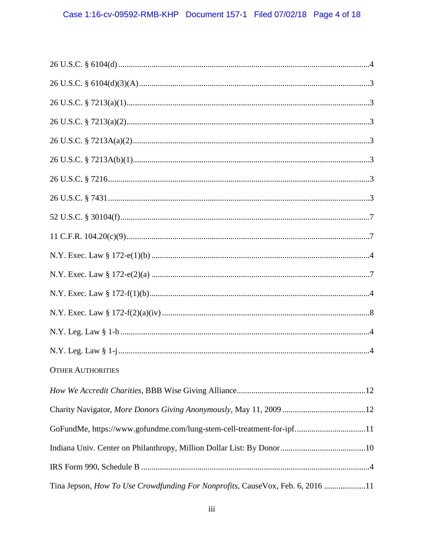| <b>OTHER AUTHORITIES</b>                                                       |
|--------------------------------------------------------------------------------|
|                                                                                |
|                                                                                |
| GoFundMe, https://www.gofundme.com/lung-stem-cell-treatment-for-ipf11          |
|                                                                                |
|                                                                                |
| Tina Jepson, How To Use Crowdfunding For Nonprofits, CauseVox, Feb. 6, 2016 11 |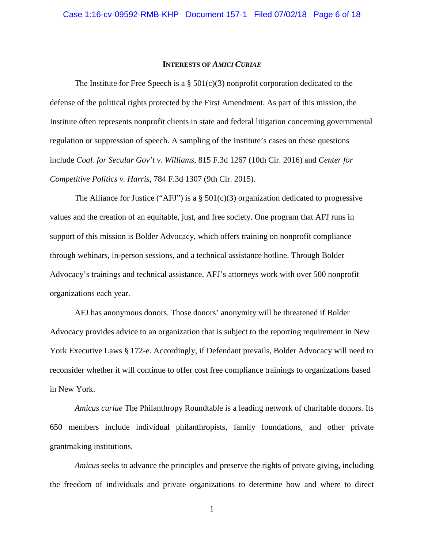### **INTERESTS OF** *AMICI CURIAE*

The Institute for Free Speech is a  $\S$  501(c)(3) nonprofit corporation dedicated to the defense of the political rights protected by the First Amendment. As part of this mission, the Institute often represents nonprofit clients in state and federal litigation concerning governmental regulation or suppression of speech. A sampling of the Institute's cases on these questions include *Coal. for Secular Gov't v. Williams*, 815 F.3d 1267 (10th Cir. 2016) and *Center for Competitive Politics v. Harris*, 784 F.3d 1307 (9th Cir. 2015).

The Alliance for Justice ("AFJ") is a  $\S$  501(c)(3) organization dedicated to progressive values and the creation of an equitable, just, and free society. One program that AFJ runs in support of this mission is Bolder Advocacy, which offers training on nonprofit compliance through webinars, in-person sessions, and a technical assistance hotline. Through Bolder Advocacy's trainings and technical assistance, AFJ's attorneys work with over 500 nonprofit organizations each year.

AFJ has anonymous donors. Those donors' anonymity will be threatened if Bolder Advocacy provides advice to an organization that is subject to the reporting requirement in New York Executive Laws § 172-e. Accordingly, if Defendant prevails, Bolder Advocacy will need to reconsider whether it will continue to offer cost free compliance trainings to organizations based in New York.

*Amicus curiae* The Philanthropy Roundtable is a leading network of charitable donors. Its 650 members include individual philanthropists, family foundations, and other private grantmaking institutions.

*Amicus* seeks to advance the principles and preserve the rights of private giving, including the freedom of individuals and private organizations to determine how and where to direct

1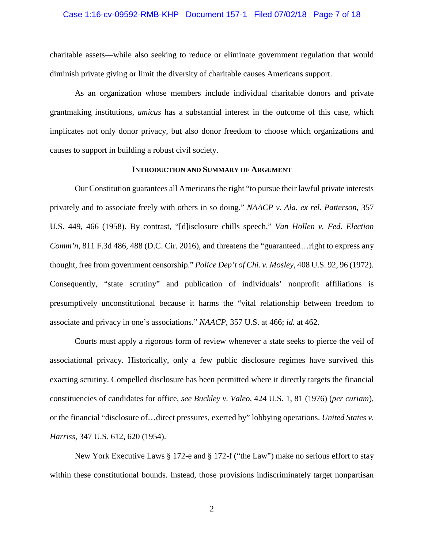# Case 1:16-cv-09592-RMB-KHP Document 157-1 Filed 07/02/18 Page 7 of 18

charitable assets—while also seeking to reduce or eliminate government regulation that would diminish private giving or limit the diversity of charitable causes Americans support.

As an organization whose members include individual charitable donors and private grantmaking institutions, *amicus* has a substantial interest in the outcome of this case, which implicates not only donor privacy, but also donor freedom to choose which organizations and causes to support in building a robust civil society.

### **INTRODUCTION AND SUMMARY OF ARGUMENT**

Our Constitution guarantees all Americans the right "to pursue their lawful private interests privately and to associate freely with others in so doing." *NAACP v. Ala. ex rel. Patterson*, 357 U.S. 449, 466 (1958). By contrast, "[d]isclosure chills speech," *Van Hollen v. Fed. Election Comm'n*, 811 F.3d 486, 488 (D.C. Cir. 2016), and threatens the "guaranteed... right to express any thought, free from government censorship." *Police Dep't of Chi. v. Mosley*, 408 U.S. 92, 96 (1972). Consequently, "state scrutiny" and publication of individuals' nonprofit affiliations is presumptively unconstitutional because it harms the "vital relationship between freedom to associate and privacy in one's associations." *NAACP*, 357 U.S. at 466; *id.* at 462.

Courts must apply a rigorous form of review whenever a state seeks to pierce the veil of associational privacy. Historically, only a few public disclosure regimes have survived this exacting scrutiny. Compelled disclosure has been permitted where it directly targets the financial constituencies of candidates for office, *see Buckley v. Valeo*, 424 U.S. 1, 81 (1976) (*per curiam*), or the financial "disclosure of…direct pressures, exerted by" lobbying operations. *United States v. Harriss*, 347 U.S. 612, 620 (1954).

New York Executive Laws § 172-e and § 172-f ("the Law") make no serious effort to stay within these constitutional bounds. Instead, those provisions indiscriminately target nonpartisan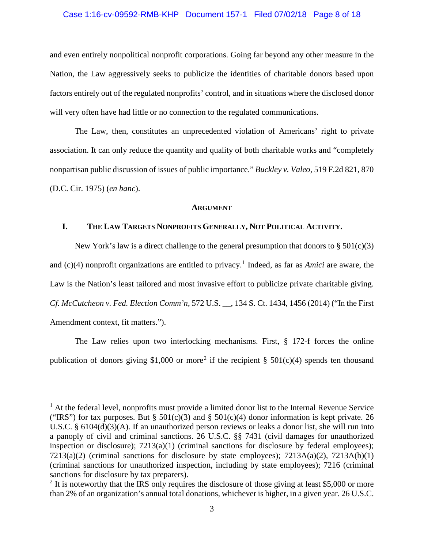# Case 1:16-cv-09592-RMB-KHP Document 157-1 Filed 07/02/18 Page 8 of 18

and even entirely nonpolitical nonprofit corporations. Going far beyond any other measure in the Nation, the Law aggressively seeks to publicize the identities of charitable donors based upon factors entirely out of the regulated nonprofits' control, and in situations where the disclosed donor will very often have had little or no connection to the regulated communications.

The Law, then, constitutes an unprecedented violation of Americans' right to private association. It can only reduce the quantity and quality of both charitable works and "completely nonpartisan public discussion of issues of public importance." *Buckley v. Valeo*, 519 F.2d 821, 870 (D.C. Cir. 1975) (*en banc*).

#### **ARGUMENT**

## **I. THE LAW TARGETS NONPROFITS GENERALLY, NOT POLITICAL ACTIVITY.**

New York's law is a direct challenge to the general presumption that donors to  $\S 501(c)(3)$ and (c)(4) nonprofit organizations are entitled to privacy.<sup>[1](#page-11-0)</sup> Indeed, as far as *Amici* are aware, the Law is the Nation's least tailored and most invasive effort to publicize private charitable giving. *Cf. McCutcheon v. Fed. Election Comm'n*, 572 U.S. \_\_, 134 S. Ct. 1434, 1456 (2014) ("In the First Amendment context, fit matters.").

The Law relies upon two interlocking mechanisms. First, § 172-f forces the online publication of donors giving \$1,000 or more<sup>[2](#page-11-1)</sup> if the recipient § 501(c)(4) spends ten thousand

<span id="page-11-0"></span> $<sup>1</sup>$  At the federal level, nonprofits must provide a limited donor list to the Internal Revenue Service</sup> ("IRS") for tax purposes. But §  $501(c)(3)$  and §  $501(c)(4)$  donor information is kept private. 26 U.S.C. § 6104(d)(3)(A). If an unauthorized person reviews or leaks a donor list, she will run into a panoply of civil and criminal sanctions. 26 U.S.C. §§ 7431 (civil damages for unauthorized inspection or disclosure);  $7213(a)(1)$  (criminal sanctions for disclosure by federal employees);  $7213(a)(2)$  (criminal sanctions for disclosure by state employees);  $7213A(a)(2)$ ,  $7213A(b)(1)$ (criminal sanctions for unauthorized inspection, including by state employees); 7216 (criminal sanctions for disclosure by tax preparers).

<span id="page-11-1"></span> $2$  It is noteworthy that the IRS only requires the disclosure of those giving at least \$5,000 or more than 2% of an organization's annual total donations, whichever is higher, in a given year. 26 U.S.C.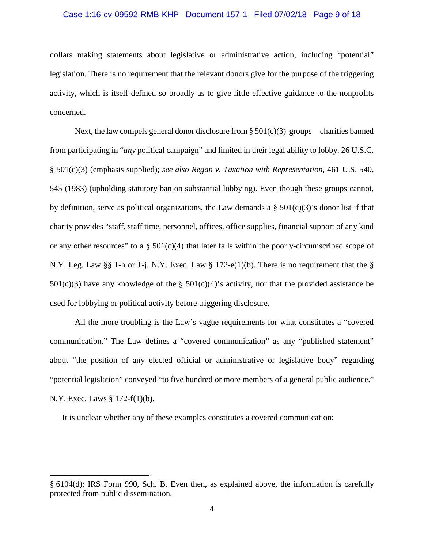# Case 1:16-cv-09592-RMB-KHP Document 157-1 Filed 07/02/18 Page 9 of 18

dollars making statements about legislative or administrative action, including "potential" legislation. There is no requirement that the relevant donors give for the purpose of the triggering activity, which is itself defined so broadly as to give little effective guidance to the nonprofits concerned.

Next, the law compels general donor disclosure from  $\S 501(c)(3)$  groups—charities banned from participating in "*any* political campaign" and limited in their legal ability to lobby. 26 U.S.C. § 501(c)(3) (emphasis supplied); *see also Regan v. Taxation with Representation*, 461 U.S. 540, 545 (1983) (upholding statutory ban on substantial lobbying). Even though these groups cannot, by definition, serve as political organizations, the Law demands a  $\S$  501(c)(3)'s donor list if that charity provides "staff, staff time, personnel, offices, office supplies, financial support of any kind or any other resources" to a  $\S$  501(c)(4) that later falls within the poorly-circumscribed scope of N.Y. Leg. Law §§ 1-h or 1-j. N.Y. Exec. Law § 172-e(1)(b). There is no requirement that the §  $501(c)(3)$  have any knowledge of the §  $501(c)(4)$ 's activity, nor that the provided assistance be used for lobbying or political activity before triggering disclosure.

All the more troubling is the Law's vague requirements for what constitutes a "covered communication." The Law defines a "covered communication" as any "published statement" about "the position of any elected official or administrative or legislative body" regarding "potential legislation" conveyed "to five hundred or more members of a general public audience." N.Y. Exec. Laws § 172-f(1)(b).

It is unclear whether any of these examples constitutes a covered communication:

<sup>§</sup> 6104(d); IRS Form 990, Sch. B. Even then, as explained above*,* the information is carefully protected from public dissemination.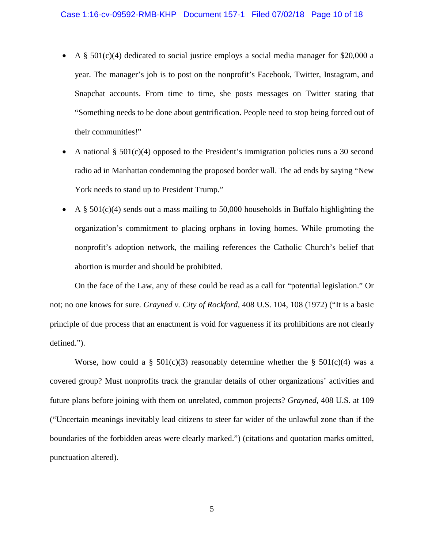- A  $\S$  501(c)(4) dedicated to social justice employs a social media manager for \$20,000 a year. The manager's job is to post on the nonprofit's Facebook, Twitter, Instagram, and Snapchat accounts. From time to time, she posts messages on Twitter stating that "Something needs to be done about gentrification. People need to stop being forced out of their communities!"
- A national § 501(c)(4) opposed to the President's immigration policies runs a 30 second radio ad in Manhattan condemning the proposed border wall. The ad ends by saying "New York needs to stand up to President Trump."
- A  $\S$  501(c)(4) sends out a mass mailing to 50,000 households in Buffalo highlighting the organization's commitment to placing orphans in loving homes. While promoting the nonprofit's adoption network, the mailing references the Catholic Church's belief that abortion is murder and should be prohibited.

On the face of the Law, any of these could be read as a call for "potential legislation." Or not; no one knows for sure. *Grayned v. City of Rockford*, 408 U.S. 104, 108 (1972) ("It is a basic principle of due process that an enactment is void for vagueness if its prohibitions are not clearly defined.").

Worse, how could a § 501(c)(3) reasonably determine whether the § 501(c)(4) was a covered group? Must nonprofits track the granular details of other organizations' activities and future plans before joining with them on unrelated, common projects? *Grayned*, 408 U.S. at 109 ("Uncertain meanings inevitably lead citizens to steer far wider of the unlawful zone than if the boundaries of the forbidden areas were clearly marked.") (citations and quotation marks omitted, punctuation altered).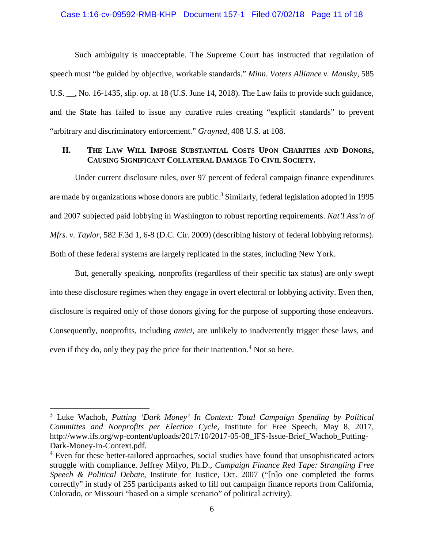### Case 1:16-cv-09592-RMB-KHP Document 157-1 Filed 07/02/18 Page 11 of 18

Such ambiguity is unacceptable. The Supreme Court has instructed that regulation of speech must "be guided by objective, workable standards." *Minn. Voters Alliance v. Mansky*, 585 U.S. \_\_, No. 16-1435, slip. op. at 18 (U.S. June 14, 2018). The Law fails to provide such guidance, and the State has failed to issue any curative rules creating "explicit standards" to prevent "arbitrary and discriminatory enforcement." *Grayned*, 408 U.S. at 108.

# **II. THE LAW WILL IMPOSE SUBSTANTIAL COSTS UPON CHARITIES AND DONORS, CAUSING SIGNIFICANT COLLATERAL DAMAGE TO CIVIL SOCIETY.**

Under current disclosure rules, over 97 percent of federal campaign finance expenditures are made by organizations whose donors are public.<sup>[3](#page-14-0)</sup> Similarly, federal legislation adopted in 1995 and 2007 subjected paid lobbying in Washington to robust reporting requirements. *Nat'l Ass'n of Mfrs. v. Taylor*, 582 F.3d 1, 6-8 (D.C. Cir. 2009) (describing history of federal lobbying reforms). Both of these federal systems are largely replicated in the states, including New York.

But, generally speaking, nonprofits (regardless of their specific tax status) are only swept into these disclosure regimes when they engage in overt electoral or lobbying activity. Even then, disclosure is required only of those donors giving for the purpose of supporting those endeavors. Consequently, nonprofits, including *amici*, are unlikely to inadvertently trigger these laws, and even if they do, only they pay the price for their inattention.<sup>[4](#page-14-1)</sup> Not so here.

<span id="page-14-0"></span><sup>3</sup> Luke Wachob, *Putting 'Dark Money' In Context: Total Campaign Spending by Political Committes and Nonprofits per Election Cycle*, Institute for Free Speech, May 8, 2017, http://www.ifs.org/wp-content/uploads/2017/10/2017-05-08\_IFS-Issue-Brief\_Wachob\_Putting-Dark-Money-In-Context.pdf.

<span id="page-14-1"></span><sup>&</sup>lt;sup>4</sup> Even for these better-tailored approaches, social studies have found that unsophisticated actors struggle with compliance. Jeffrey Milyo, Ph.D., *Campaign Finance Red Tape: Strangling Free Speech & Political Debate*, Institute for Justice, Oct. 2007 ("[n]o one completed the forms correctly" in study of 255 participants asked to fill out campaign finance reports from California, Colorado, or Missouri "based on a simple scenario" of political activity).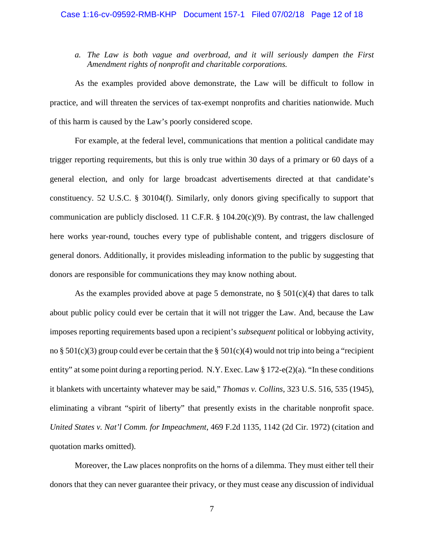# *a. The Law is both vague and overbroad, and it will seriously dampen the First Amendment rights of nonprofit and charitable corporations.*

As the examples provided above demonstrate, the Law will be difficult to follow in practice, and will threaten the services of tax-exempt nonprofits and charities nationwide. Much of this harm is caused by the Law's poorly considered scope.

For example, at the federal level, communications that mention a political candidate may trigger reporting requirements, but this is only true within 30 days of a primary or 60 days of a general election, and only for large broadcast advertisements directed at that candidate's constituency. 52 U.S.C. § 30104(f). Similarly, only donors giving specifically to support that communication are publicly disclosed. 11 C.F.R. § 104.20(c)(9). By contrast, the law challenged here works year-round, touches every type of publishable content, and triggers disclosure of general donors. Additionally, it provides misleading information to the public by suggesting that donors are responsible for communications they may know nothing about.

As the examples provided above at page 5 demonstrate, no  $\S$  501(c)(4) that dares to talk about public policy could ever be certain that it will not trigger the Law. And, because the Law imposes reporting requirements based upon a recipient's *subsequent* political or lobbying activity, no § 501(c)(3) group could ever be certain that the § 501(c)(4) would not trip into being a "recipient entity" at some point during a reporting period. N.Y. Exec. Law § 172-e(2)(a). "In these conditions it blankets with uncertainty whatever may be said," *Thomas v. Collins,* 323 U.S. 516, 535 (1945), eliminating a vibrant "spirit of liberty" that presently exists in the charitable nonprofit space. *United States v. Nat'l Comm. for Impeachment*, 469 F.2d 1135, 1142 (2d Cir. 1972) (citation and quotation marks omitted).

Moreover, the Law places nonprofits on the horns of a dilemma. They must either tell their donors that they can never guarantee their privacy, or they must cease any discussion of individual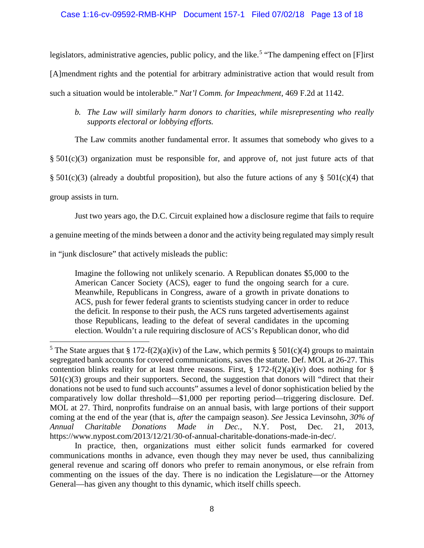legislators, administrative agencies, public policy, and the like.<sup>[5](#page-16-0)</sup> "The dampening effect on [F]irst [A]mendment rights and the potential for arbitrary administrative action that would result from such a situation would be intolerable." *Nat'l Comm. for Impeachment*, 469 F.2d at 1142.

The Law commits another fundamental error. It assumes that somebody who gives to a

 $§ 501(c)(3)$  organization must be responsible for, and approve of, not just future acts of that

 $\S 501(c)(3)$  (already a doubtful proposition), but also the future actions of any  $\S 501(c)(4)$  that

group assists in turn.

 $\overline{a}$ 

Just two years ago, the D.C. Circuit explained how a disclosure regime that fails to require

a genuine meeting of the minds between a donor and the activity being regulated may simply result

in "junk disclosure" that actively misleads the public:

Imagine the following not unlikely scenario. A Republican donates \$5,000 to the American Cancer Society (ACS), eager to fund the ongoing search for a cure. Meanwhile, Republicans in Congress, aware of a growth in private donations to ACS, push for fewer federal grants to scientists studying cancer in order to reduce the deficit. In response to their push, the ACS runs targeted advertisements against those Republicans, leading to the defeat of several candidates in the upcoming election. Wouldn't a rule requiring disclosure of ACS's Republican donor, who did

*b. The Law will similarly harm donors to charities, while misrepresenting who really supports electoral or lobbying efforts.*

<span id="page-16-0"></span><sup>&</sup>lt;sup>5</sup> The State argues that § 172-f(2)(a)(iv) of the Law, which permits § 501(c)(4) groups to maintain segregated bank accounts for covered communications, saves the statute. Def. MOL at 26-27. This contention blinks reality for at least three reasons. First,  $\S 172-f(2)(a)(iv)$  does nothing for  $\S$  $501(c)(3)$  groups and their supporters. Second, the suggestion that donors will "direct that their donations not be used to fund such accounts" assumes a level of donor sophistication belied by the comparatively low dollar threshold—\$1,000 per reporting period—triggering disclosure. Def. MOL at 27. Third, nonprofits fundraise on an annual basis, with large portions of their support coming at the end of the year (that is, *after* the campaign season). *See* Jessica Levinsohn, *30% of Annual Charitable Donations Made in Dec.,* N.Y. Post, Dec. 21, 2013, https://www.nypost.com/2013/12/21/30-of-annual-charitable-donations-made-in-dec/.

In practice, then, organizations must either solicit funds earmarked for covered communications months in advance, even though they may never be used, thus cannibalizing general revenue and scaring off donors who prefer to remain anonymous, or else refrain from commenting on the issues of the day. There is no indication the Legislature—or the Attorney General—has given any thought to this dynamic, which itself chills speech.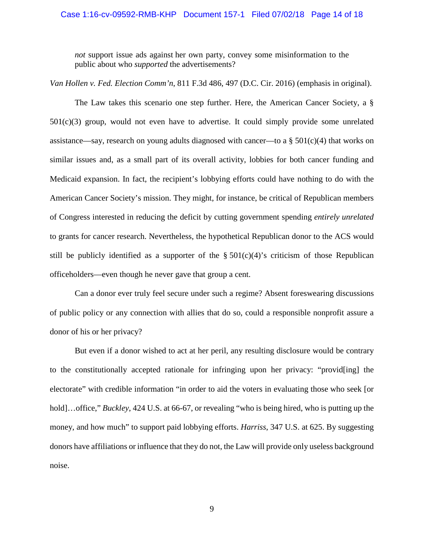### Case 1:16-cv-09592-RMB-KHP Document 157-1 Filed 07/02/18 Page 14 of 18

*not* support issue ads against her own party, convey some misinformation to the public about who *supported* the advertisements?

*Van Hollen v. Fed. Election Comm'n*, 811 F.3d 486, 497 (D.C. Cir. 2016) (emphasis in original).

The Law takes this scenario one step further. Here, the American Cancer Society, a §  $501(c)(3)$  group, would not even have to advertise. It could simply provide some unrelated assistance—say, research on young adults diagnosed with cancer—to a  $\S 501(c)(4)$  that works on similar issues and, as a small part of its overall activity, lobbies for both cancer funding and Medicaid expansion. In fact, the recipient's lobbying efforts could have nothing to do with the American Cancer Society's mission. They might, for instance, be critical of Republican members of Congress interested in reducing the deficit by cutting government spending *entirely unrelated* to grants for cancer research. Nevertheless, the hypothetical Republican donor to the ACS would still be publicly identified as a supporter of the  $\S 501(c)(4)$ 's criticism of those Republican officeholders—even though he never gave that group a cent.

Can a donor ever truly feel secure under such a regime? Absent foreswearing discussions of public policy or any connection with allies that do so, could a responsible nonprofit assure a donor of his or her privacy?

But even if a donor wished to act at her peril, any resulting disclosure would be contrary to the constitutionally accepted rationale for infringing upon her privacy: "provid[ing] the electorate" with credible information "in order to aid the voters in evaluating those who seek [or hold]…office," *Buckley*, 424 U.S. at 66-67, or revealing "who is being hired, who is putting up the money, and how much" to support paid lobbying efforts. *Harriss*, 347 U.S. at 625. By suggesting donors have affiliations or influence that they do not, the Law will provide only useless background noise.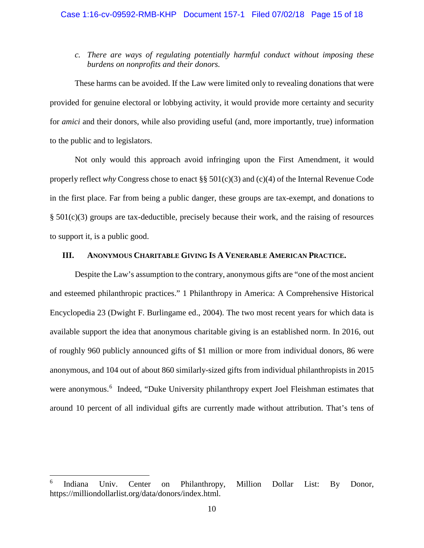*c. There are ways of regulating potentially harmful conduct without imposing these burdens on nonprofits and their donors.*

These harms can be avoided. If the Law were limited only to revealing donations that were provided for genuine electoral or lobbying activity, it would provide more certainty and security for *amici* and their donors, while also providing useful (and, more importantly, true) information to the public and to legislators.

Not only would this approach avoid infringing upon the First Amendment, it would properly reflect *why* Congress chose to enact §§ 501(c)(3) and (c)(4) of the Internal Revenue Code in the first place. Far from being a public danger, these groups are tax-exempt, and donations to § 501(c)(3) groups are tax-deductible, precisely because their work, and the raising of resources to support it, is a public good.

## **III. ANONYMOUS CHARITABLE GIVING IS A VENERABLE AMERICAN PRACTICE.**

Despite the Law's assumption to the contrary, anonymous gifts are "one of the most ancient and esteemed philanthropic practices." 1 Philanthropy in America: A Comprehensive Historical Encyclopedia 23 (Dwight F. Burlingame ed., 2004). The two most recent years for which data is available support the idea that anonymous charitable giving is an established norm. In 2016, out of roughly 960 publicly announced gifts of \$1 million or more from individual donors, 86 were anonymous, and 104 out of about 860 similarly-sized gifts from individual philanthropists in 2015 were anonymous.<sup>[6](#page-18-0)</sup> Indeed, "Duke University philanthropy expert Joel Fleishman estimates that around 10 percent of all individual gifts are currently made without attribution. That's tens of

<span id="page-18-0"></span>Indiana Univ. Center on Philanthropy, Million Dollar List: By Donor, https://milliondollarlist.org/data/donors/index.html.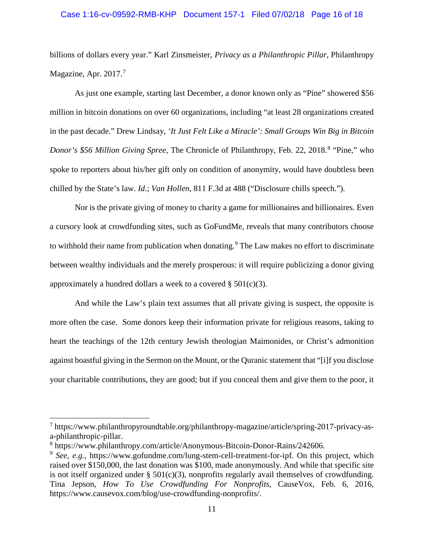### Case 1:16-cv-09592-RMB-KHP Document 157-1 Filed 07/02/18 Page 16 of 18

billions of dollars every year." Karl Zinsmeister, *Privacy as a Philanthropic Pillar*, Philanthropy Magazine, Apr. 201[7](#page-19-0).<sup>7</sup>

As just one example, starting last December, a donor known only as "Pine" showered \$56 million in bitcoin donations on over 60 organizations, including "at least 28 organizations created in the past decade." Drew Lindsay, *'It Just Felt Like a Miracle': Small Groups Win Big in Bitcoin Donor's \$56 Million Giving Spree*, The Chronicle of Philanthropy, Feb. 22, 201[8](#page-19-1).<sup>8</sup> "Pine," who spoke to reporters about his/her gift only on condition of anonymity, would have doubtless been chilled by the State's law. *Id*.; *Van Hollen*, 811 F.3d at 488 ("Disclosure chills speech.").

Nor is the private giving of money to charity a game for millionaires and billionaires. Even a cursory look at crowdfunding sites, such as GoFundMe, reveals that many contributors choose to withhold their name from publication when donating.<sup>[9](#page-19-2)</sup> The Law makes no effort to discriminate between wealthy individuals and the merely prosperous: it will require publicizing a donor giving approximately a hundred dollars a week to a covered  $\S 501(c)(3)$ .

And while the Law's plain text assumes that all private giving is suspect, the opposite is more often the case. Some donors keep their information private for religious reasons, taking to heart the teachings of the 12th century Jewish theologian Maimonides, or Christ's admonition against boastful giving in the Sermon on the Mount, or the Quranic statement that "[i]f you disclose your charitable contributions, they are good; but if you conceal them and give them to the poor, it

<span id="page-19-0"></span><sup>7</sup> https://www.philanthropyroundtable.org/philanthropy-magazine/article/spring-2017-privacy-asa-philanthropic-pillar.

<span id="page-19-1"></span><sup>8</sup> https://www.philanthropy.com/article/Anonymous-Bitcoin-Donor-Rains/242606.

<span id="page-19-2"></span><sup>9</sup> *See, e.g.*, https://www.gofundme.com/lung-stem-cell-treatment-for-ipf. On this project, which raised over \$150,000, the last donation was \$100, made anonymously. And while that specific site is not itself organized under  $\S$  501(c)(3), nonprofits regularly avail themselves of crowdfunding. Tina Jepson, *How To Use Crowdfunding For Nonprofits*, CauseVox, Feb. 6, 2016, https://www.causevox.com/blog/use-crowdfunding-nonprofits/.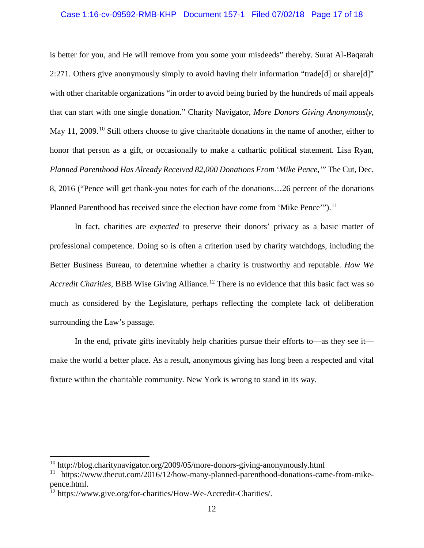### Case 1:16-cv-09592-RMB-KHP Document 157-1 Filed 07/02/18 Page 17 of 18

is better for you, and He will remove from you some your misdeeds" thereby. Surat Al-Baqarah 2:271. Others give anonymously simply to avoid having their information "trade[d] or share[d]" with other charitable organizations "in order to avoid being buried by the hundreds of mail appeals that can start with one single donation." Charity Navigator, *More Donors Giving Anonymously*, May 11, 2009.<sup>[10](#page-20-0)</sup> Still others choose to give charitable donations in the name of another, either to honor that person as a gift, or occasionally to make a cathartic political statement. Lisa Ryan, *Planned Parenthood Has Already Received 82,000 Donations From 'Mike Pence*,*'*" The Cut, Dec. 8, 2016 ("Pence will get thank-you notes for each of the donations…26 percent of the donations Planned Parenthood has received since the election have come from 'Mike Pence'").<sup>[11](#page-20-1)</sup>

In fact, charities are *expected* to preserve their donors' privacy as a basic matter of professional competence. Doing so is often a criterion used by charity watchdogs, including the Better Business Bureau, to determine whether a charity is trustworthy and reputable. *How We Accredit Charities*, BBB Wise Giving Alliance.<sup>[12](#page-20-2)</sup> There is no evidence that this basic fact was so much as considered by the Legislature, perhaps reflecting the complete lack of deliberation surrounding the Law's passage.

In the end, private gifts inevitably help charities pursue their efforts to—as they see it make the world a better place. As a result, anonymous giving has long been a respected and vital fixture within the charitable community. New York is wrong to stand in its way.

<span id="page-20-0"></span> $10$  http://blog.charitynavigator.org/2009/05/more-donors-giving-anonymously.html

<span id="page-20-1"></span><sup>&</sup>lt;sup>11</sup> https://www.thecut.com/2016/12/how-many-planned-parenthood-donations-came-from-mikepence.html.

<span id="page-20-2"></span><sup>&</sup>lt;sup>12</sup> https://www.give.org/for-charities/How-We-Accredit-Charities/.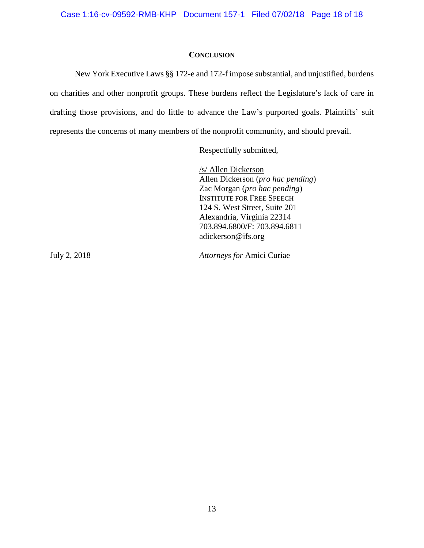### **CONCLUSION**

New York Executive Laws §§ 172-e and 172-f impose substantial, and unjustified, burdens on charities and other nonprofit groups. These burdens reflect the Legislature's lack of care in drafting those provisions, and do little to advance the Law's purported goals. Plaintiffs' suit represents the concerns of many members of the nonprofit community, and should prevail.

Respectfully submitted,

/s/ Allen Dickerson Allen Dickerson (*pro hac pending*) Zac Morgan (*pro hac pending*) INSTITUTE FOR FREE SPEECH 124 S. West Street, Suite 201 Alexandria, Virginia 22314 703.894.6800/F: 703.894.6811 adickerson@ifs.org

July 2, 2018 *Attorneys for* Amici Curiae

13